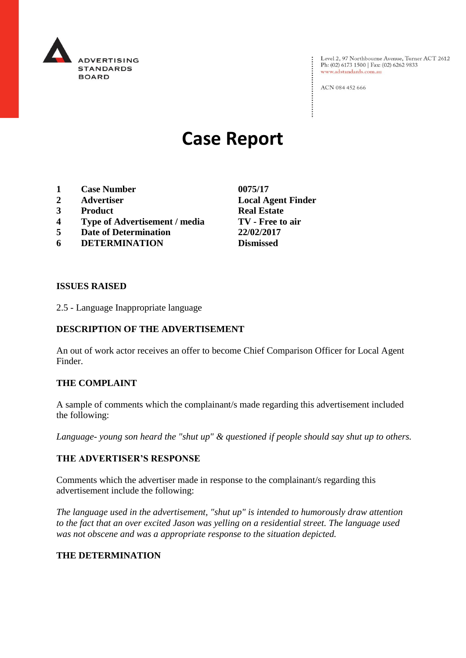

Level 2, 97 Northbourne Avenue, Turner ACT 2612<br>Ph: (02) 6173 1500 | Fax: (02) 6262 9833 www.adstandards.com.au

ACN 084 452 666

# **Case Report**

- **1 Case Number 0075/17**
- **2 Advertiser Local Agent Finder**
- **3 Product Real Estate**
- **4 Type of Advertisement / media TV - Free to air**
- **5 Date of Determination 22/02/2017**
- **6 DETERMINATION Dismissed**

**ISSUES RAISED**

2.5 - Language Inappropriate language

## **DESCRIPTION OF THE ADVERTISEMENT**

An out of work actor receives an offer to become Chief Comparison Officer for Local Agent Finder.

### **THE COMPLAINT**

A sample of comments which the complainant/s made regarding this advertisement included the following:

*Language- young son heard the "shut up" & questioned if people should say shut up to others.* 

### **THE ADVERTISER'S RESPONSE**

Comments which the advertiser made in response to the complainant/s regarding this advertisement include the following:

*The language used in the advertisement, "shut up" is intended to humorously draw attention to the fact that an over excited Jason was yelling on a residential street. The language used was not obscene and was a appropriate response to the situation depicted.* 

### **THE DETERMINATION**